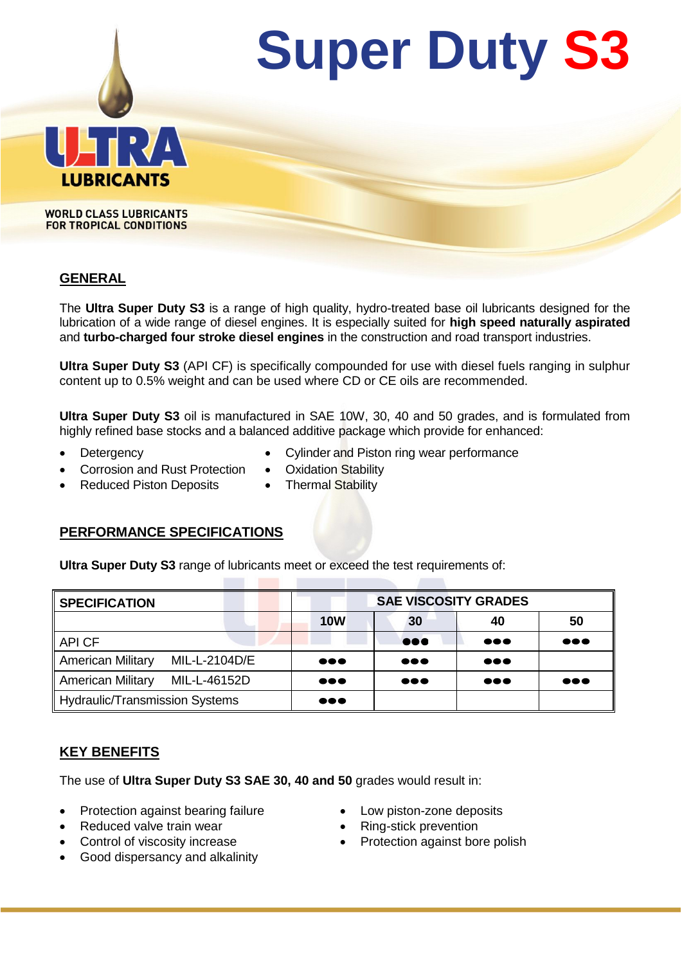

**WORLD CLASS LUBRICANTS FOR TROPICAL CONDITIONS** 

#### **GENERAL**

The **Ultra Super Duty S3** is a range of high quality, hydro-treated base oil lubricants designed for the lubrication of a wide range of diesel engines. It is especially suited for **high speed naturally aspirated** and **turbo-charged four stroke diesel engines** in the construction and road transport industries.

**Ultra Super Duty S3** (API CF) is specifically compounded for use with diesel fuels ranging in sulphur content up to 0.5% weight and can be used where CD or CE oils are recommended.

**Ultra Super Duty S3** oil is manufactured in SAE 10W, 30, 40 and 50 grades, and is formulated from highly refined base stocks and a balanced additive package which provide for enhanced:

- 
- Detergency **Detergency Cylinder and Piston ring wear performance**
- Corrosion and Rust Protection . Oxidation Stability
- Reduced Piston Deposits Thermal Stability
- 
- **PERFORMANCE SPECIFICATIONS**

**Ultra Super Duty S3** range of lubricants meet or exceed the test requirements of:

| <b>SPECIFICATION</b>                  |               | <b>SAE VISCOSITY GRADES</b> |                         |                         |                         |  |  |
|---------------------------------------|---------------|-----------------------------|-------------------------|-------------------------|-------------------------|--|--|
|                                       |               | <b>10W</b>                  | 30                      | 40                      | 50                      |  |  |
| API CF                                |               |                             | $\bullet\bullet\bullet$ | $\bullet\bullet\bullet$ | $\bullet\bullet\bullet$ |  |  |
| <b>American Military</b>              | MIL-L-2104D/E | $\bullet\bullet\bullet$     | $\bullet\bullet\bullet$ | $\bullet\bullet\bullet$ |                         |  |  |
| <b>American Military</b>              | MIL-L-46152D  | $\bullet\bullet\bullet$     | $\bullet\bullet\bullet$ | $\bullet\bullet\bullet$ | $\bullet\bullet\bullet$ |  |  |
| <b>Hydraulic/Transmission Systems</b> |               | $\bullet\bullet\bullet$     |                         |                         |                         |  |  |

# **KEY BENEFITS**

The use of **Ultra Super Duty S3 SAE 30, 40 and 50** grades would result in:

- Protection against bearing failure **Conservance** Low piston-zone deposits
- Reduced valve train wear **Ring-stick prevention**
- 
- Good dispersancy and alkalinity
- 
- 
- Control of viscosity increase **Control of viscosity increase Protection against bore polish**